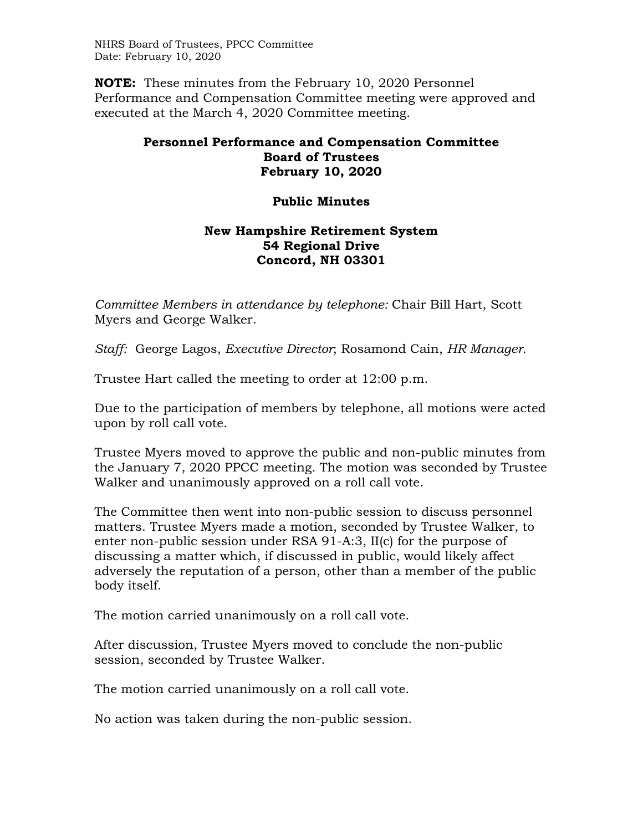NHRS Board of Trustees, PPCC Committee Date: February 10, 2020

**NOTE:** These minutes from the February 10, 2020 Personnel Performance and Compensation Committee meeting were approved and executed at the March 4, 2020 Committee meeting.

## **Personnel Performance and Compensation Committee Board of Trustees February 10, 2020**

## **Public Minutes**

## **New Hampshire Retirement System 54 Regional Drive Concord, NH 03301**

*Committee Members in attendance by telephone:* Chair Bill Hart, Scott Myers and George Walker.

*Staff:* George Lagos, *Executive Director*; Rosamond Cain, *HR Manager*.

Trustee Hart called the meeting to order at 12:00 p.m.

Due to the participation of members by telephone, all motions were acted upon by roll call vote.

Trustee Myers moved to approve the public and non-public minutes from the January 7, 2020 PPCC meeting. The motion was seconded by Trustee Walker and unanimously approved on a roll call vote.

The Committee then went into non-public session to discuss personnel matters. Trustee Myers made a motion, seconded by Trustee Walker, to enter non-public session under RSA 91-A:3, II(c) for the purpose of discussing a matter which, if discussed in public, would likely affect adversely the reputation of a person, other than a member of the public body itself.

The motion carried unanimously on a roll call vote.

After discussion, Trustee Myers moved to conclude the non-public session, seconded by Trustee Walker.

The motion carried unanimously on a roll call vote.

No action was taken during the non-public session.